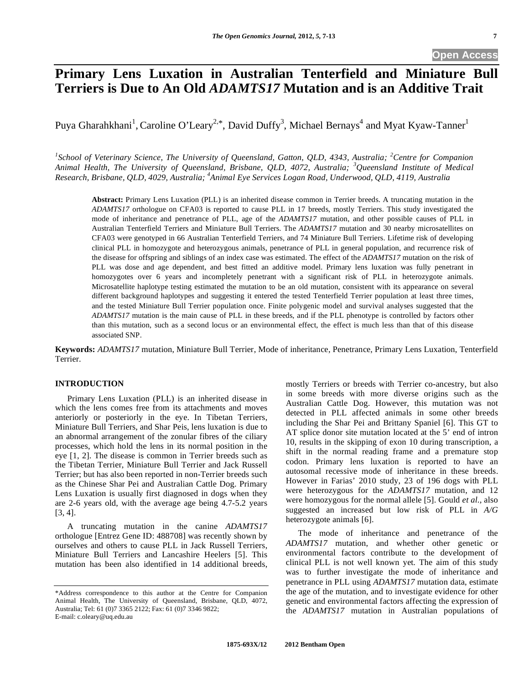# **Open Access**

# **Primary Lens Luxation in Australian Tenterfield and Miniature Bull Terriers is Due to An Old** *ADAMTS17* **Mutation and is an Additive Trait**

Puya Gharahkhani<sup>1</sup>, Caroline O'Leary<sup>2,\*</sup>, David Duffy<sup>3</sup>, Michael Bernays<sup>4</sup> and Myat Kyaw-Tanner<sup>1</sup>

<sup>1</sup>School of Veterinary Science, The University of Queensland, Gatton, QLD, 4343, Australia; <sup>2</sup>Centre for Companion *Animal Health, The University of Queensland, Brisbane, QLD, 4072, Australia; <sup>3</sup> Queensland Institute of Medical Research, Brisbane, QLD, 4029, Australia; 4 Animal Eye Services Logan Road, Underwood, QLD, 4119, Australia* 

**Abstract:** Primary Lens Luxation (PLL) is an inherited disease common in Terrier breeds. A truncating mutation in the *ADAMTS17* orthologue on CFA03 is reported to cause PLL in 17 breeds, mostly Terriers. This study investigated the mode of inheritance and penetrance of PLL, age of the *ADAMTS17* mutation, and other possible causes of PLL in Australian Tenterfield Terriers and Miniature Bull Terriers. The *ADAMTS17* mutation and 30 nearby microsatellites on CFA03 were genotyped in 66 Australian Tenterfield Terriers, and 74 Miniature Bull Terriers. Lifetime risk of developing clinical PLL in homozygote and heterozygous animals, penetrance of PLL in general population, and recurrence risk of the disease for offspring and siblings of an index case was estimated. The effect of the *ADAMTS17* mutation on the risk of PLL was dose and age dependent, and best fitted an additive model. Primary lens luxation was fully penetrant in homozygotes over 6 years and incompletely penetrant with a significant risk of PLL in heterozygote animals. Microsatellite haplotype testing estimated the mutation to be an old mutation, consistent with its appearance on several different background haplotypes and suggesting it entered the tested Tenterfield Terrier population at least three times, and the tested Miniature Bull Terrier population once. Finite polygenic model and survival analyses suggested that the *ADAMTS17* mutation is the main cause of PLL in these breeds, and if the PLL phenotype is controlled by factors other than this mutation, such as a second locus or an environmental effect, the effect is much less than that of this disease associated SNP.

**Keywords:** *ADAMTS17* mutation, Miniature Bull Terrier, Mode of inheritance, Penetrance, Primary Lens Luxation, Tenterfield **Terrier** 

# **INTRODUCTION**

 Primary Lens Luxation (PLL) is an inherited disease in which the lens comes free from its attachments and moves anteriorly or posteriorly in the eye. In Tibetan Terriers, Miniature Bull Terriers, and Shar Peis, lens luxation is due to an abnormal arrangement of the zonular fibres of the ciliary processes, which hold the lens in its normal position in the eye [1, 2]. The disease is common in Terrier breeds such as the Tibetan Terrier, Miniature Bull Terrier and Jack Russell Terrier; but has also been reported in non-Terrier breeds such as the Chinese Shar Pei and Australian Cattle Dog. Primary Lens Luxation is usually first diagnosed in dogs when they are 2-6 years old, with the average age being 4.7-5.2 years [3, 4].

 A truncating mutation in the canine *ADAMTS17*  orthologue [Entrez Gene ID: 488708] was recently shown by ourselves and others to cause PLL in Jack Russell Terriers, Miniature Bull Terriers and Lancashire Heelers [5]. This mutation has been also identified in 14 additional breeds,

mostly Terriers or breeds with Terrier co-ancestry, but also in some breeds with more diverse origins such as the Australian Cattle Dog. However, this mutation was not detected in PLL affected animals in some other breeds including the Shar Pei and Brittany Spaniel [6]. This GT to AT splice donor site mutation located at the 5' end of intron 10, results in the skipping of exon 10 during transcription, a shift in the normal reading frame and a premature stop codon. Primary lens luxation is reported to have an autosomal recessive mode of inheritance in these breeds. However in Farias' 2010 study, 23 of 196 dogs with PLL were heterozygous for the *ADAMTS17* mutation, and 12 were homozygous for the normal allele [5]. Gould *et al.,* also suggested an increased but low risk of PLL in *A/G* heterozygote animals [6].

 The mode of inheritance and penetrance of the *ADAMTS17* mutation, and whether other genetic or environmental factors contribute to the development of clinical PLL is not well known yet. The aim of this study was to further investigate the mode of inheritance and penetrance in PLL using *ADAMTS17* mutation data, estimate the age of the mutation, and to investigate evidence for other genetic and environmental factors affecting the expression of the *ADAMTS17* mutation in Australian populations of

<sup>\*</sup>Address correspondence to this author at the Centre for Companion Animal Health, The University of Queensland, Brisbane, QLD, 4072, Australia; Tel: 61 (0)7 3365 2122; Fax: 61 (0)7 3346 9822; E-mail: c.oleary@uq.edu.au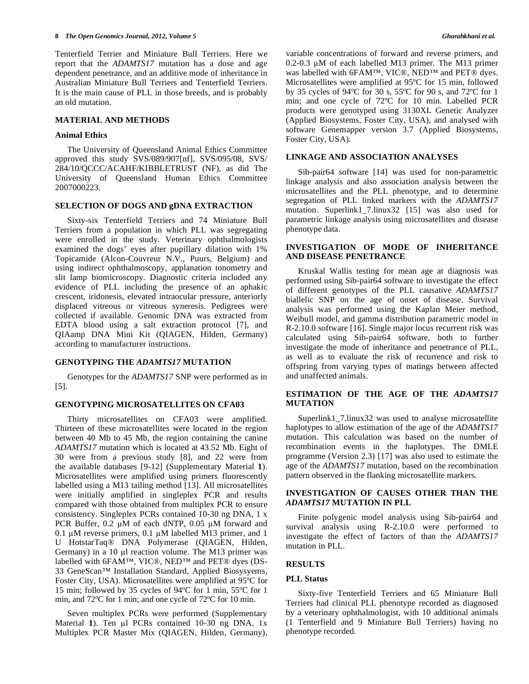Tenterfield Terrier and Miniature Bull Terriers. Here we report that the *ADAMTS17* mutation has a dose and age dependent penetrance, and an additive mode of inheritance in Australian Miniature Bull Terriers and Tenterfield Terriers. It is the main cause of PLL in those breeds, and is probably an old mutation.

# **MATERIAL AND METHODS**

#### **Animal Ethics**

 The University of Queensland Animal Ethics Committee approved this study SVS/089/907[nf], SVS/095/08, SVS/ 284/10/QCCC/ACAHF/KIBBLETRUST (NF), as did The University of Queensland Human Ethics Committee 2007000223.

#### **SELECTION OF DOGS AND gDNA EXTRACTION**

 Sixty-six Tenterfield Terriers and 74 Miniature Bull Terriers from a population in which PLL was segregating were enrolled in the study. Veterinary ophthalmologists examined the dogs' eyes after pupillary dilation with 1% Topicamide (Alcon-Couvreur N.V., Puurs, Belgium) and using indirect ophthalmoscopy, applanation tonometry and slit lamp biomicroscopy. Diagnostic criteria included any evidence of PLL including the presence of an aphakic crescent, iridonesis, elevated intraocular pressure, anteriorly displaced vitreous or vitreous syneresis. Pedigrees were collected if available. Genomic DNA was extracted from EDTA blood using a salt extraction protocol [7], and QIAamp DNA Mini Kit (QIAGEN, Hilden, Germany) according to manufacturer instructions.

#### **GENOTYPING THE** *ADAMTS17* **MUTATION**

 Genotypes for the *ADAMTS17* SNP were performed as in [5].

#### **GENOTYPING MICROSATELLITES ON CFA03**

 Thirty microsatellites on CFA03 were amplified. Thirteen of these microsatellites were located in the region between 40 Mb to 45 Mb, the region containing the canine *ADAMTS17* mutation which is located at 43.52 Mb. Eight of 30 were from a previous study [8], and 22 were from the available databases [9-12] (Supplementary Material **1**). Microsatellites were amplified using primers fluorescently labelled using a M13 tailing method [13]. All microsatellites were initially amplified in singleplex PCR and results compared with those obtained from multiplex PCR to ensure consistency. Singleplex PCRs contained 10-30 ng DNA, 1 x PCR Buffer,  $0.2 \mu M$  of each dNTP,  $0.05 \mu M$  forward and 0.1  $\mu$ M reverse primers, 0.1  $\mu$ M labelled M13 primer, and 1 U HotstarTaq® DNA Polymerase (QIAGEN, Hilden, Germany) in a 10  $\mu$ l reaction volume. The M13 primer was labelled with 6FAM™, VIC®, NED™ and PET® dyes (DS-33 GeneScan™ Installation Standard, Applied Biosysyems, Foster City, USA). Microsatellites were amplified at 95ºC for 15 min; followed by 35 cycles of 94ºC for 1 min, 55ºC for 1 min, and 72ºC for 1 min; and one cycle of 72ºC for 10 min.

 Seven multiplex PCRs were performed (Supplementary Material 1). Ten µl PCRs contained 10-30 ng DNA, 1x Multiplex PCR Master Mix (QIAGEN, Hilden, Germany), variable concentrations of forward and reverse primers, and  $0.2$ -0.3  $\mu$ M of each labelled M13 primer. The M13 primer was labelled with 6FAM™, VIC®, NED™ and PET® dyes. Microsatellites were amplified at 95ºC for 15 min, followed by 35 cycles of 94ºC for 30 s, 55ºC for 90 s, and 72ºC for 1 min; and one cycle of 72ºC for 10 min. Labelled PCR products were genotyped using 3130XL Genetic Analyzer (Applied Biosystems, Foster City, USA), and analysed with software Genemapper version 3.7 (Applied Biosystems, Foster City, USA).

#### **LINKAGE AND ASSOCIATION ANALYSES**

 Sib-pair64 software [14] was used for non-parametric linkage analysis and also association analysis between the microsatellites and the PLL phenotype, and to determine segregation of PLL linked markers with the *ADAMTS17*  mutation. Superlink1\_7.linux32 [15] was also used for parametric linkage analysis using microsatellites and disease phenotype data.

# **INVESTIGATION OF MODE OF INHERITANCE AND DISEASE PENETRANCE**

 Kruskal Wallis testing for mean age at diagnosis was performed using Sib-pair64 software to investigate the effect of different genotypes of the PLL causative *ADAMTS17* biallelic SNP on the age of onset of disease. Survival analysis was performed using the Kaplan Meier method, Weibull model, and gamma distribution parametric model in R-2.10.0 software [16]. Single major locus recurrent risk was calculated using Sib-pair64 software, both to further investigate the mode of inheritance and penetrance of PLL, as well as to evaluate the risk of recurrence and risk to offspring from varying types of matings between affected and unaffected animals.

# **ESTIMATION OF THE AGE OF THE** *ADAMTS17* **MUTATION**

 Superlink1\_7.linux32 was used to analyse microsatellite haplotypes to allow estimation of the age of the *ADAMTS17* mutation. This calculation was based on the number of recombination events in the haplotypes. The DMLE programme (Version 2.3) [17] was also used to estimate the age of the *ADAMTS17* mutation, based on the recombination pattern observed in the flanking microsatellite markers.

# **INVESTIGATION OF CAUSES OTHER THAN THE**  *ADAMTS17* **MUTATION IN PLL**

 Finite polygenic model analysis using Sib-pair64 and survival analysis using R-2.10.0 were performed to investigate the effect of factors of than the *ADAMTS17* mutation in PLL.

#### **RESULTS**

#### **PLL Status**

 Sixty-five Tenterfield Terriers and 65 Miniature Bull Terriers had clinical PLL phenotype recorded as diagnosed by a veterinary ophthalmologist, with 10 additional animals (1 Tenterfield and 9 Miniature Bull Terriers) having no phenotype recorded.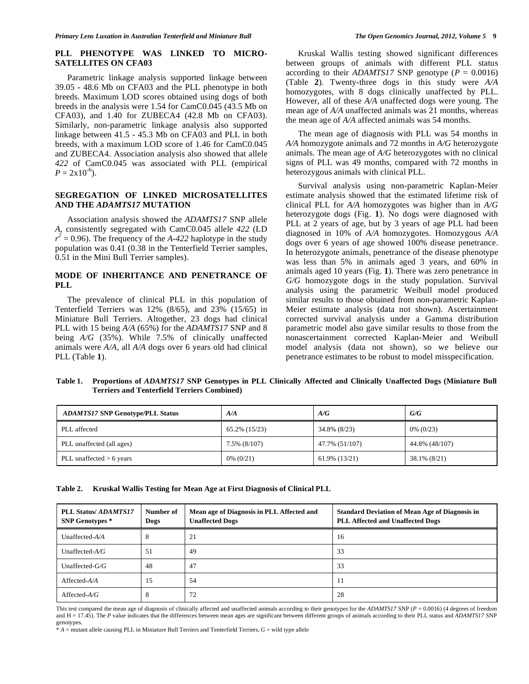# **PLL PHENOTYPE WAS LINKED TO MICRO-SATELLITES ON CFA03**

 Parametric linkage analysis supported linkage between 39.05 - 48.6 Mb on CFA03 and the PLL phenotype in both breeds. Maximum LOD scores obtained using dogs of both breeds in the analysis were 1.54 for CamC0.045 (43.5 Mb on CFA03), and 1.40 for ZUBECA4 (42.8 Mb on CFA03). Similarly, non-parametric linkage analysis also supported linkage between 41.5 - 45.3 Mb on CFA03 and PLL in both breeds, with a maximum LOD score of 1.46 for CamC0.045 and ZUBECA4. Association analysis also showed that allele *422* of CamC0.045 was associated with PLL (empirical  $P = 2 \times 10^{-6}$ .

#### **SEGREGATION OF LINKED MICROSATELLITES AND THE** *ADAMTS17* **MUTATION**

 Association analysis showed the *ADAMTS17* SNP allele *A*, consistently segregated with CamC0.045 allele *422* (LD  $r^2 = 0.96$ ). The frequency of the *A-422* haplotype in the study population was 0.41 (0.38 in the Tenterfield Terrier samples, 0.51 in the Mini Bull Terrier samples).

# **MODE OF INHERITANCE AND PENETRANCE OF PLL**

 The prevalence of clinical PLL in this population of Tenterfield Terriers was 12% (8/65), and 23% (15/65) in Miniature Bull Terriers. Altogether, 23 dogs had clinical PLL with 15 being *A/A* (65%) for the *ADAMTS17* SNP and 8 being *A/G* (35%). While 7.5% of clinically unaffected animals were *A/A*, all *A/A* dogs over 6 years old had clinical PLL (Table **1**).

 Kruskal Wallis testing showed significant differences between groups of animals with different PLL status according to their *ADAMTS17* SNP genotype ( $P = 0.0016$ ) (Table **2**). Twenty-three dogs in this study were *A/A* homozygotes, with 8 dogs clinically unaffected by PLL. However, all of these *A/A* unaffected dogs were young. The mean age of *A/A* unaffected animals was 21 months, whereas the mean age of *A/A* affected animals was 54 months.

 The mean age of diagnosis with PLL was 54 months in *A/A* homozygote animals and 72 months in *A/G* heterozygote animals. The mean age of *A/G* heterozygotes with no clinical signs of PLL was 49 months, compared with 72 months in heterozygous animals with clinical PLL.

 Survival analysis using non-parametric Kaplan-Meier estimate analysis showed that the estimated lifetime risk of clinical PLL for *A/A* homozygotes was higher than in *A/G* heterozygote dogs (Fig. **1**). No dogs were diagnosed with PLL at 2 years of age, but by 3 years of age PLL had been diagnosed in 10% of *A/A* homozygotes. Homozygous *A/A* dogs over 6 years of age showed 100% disease penetrance. In heterozygote animals, penetrance of the disease phenotype was less than 5% in animals aged 3 years, and 60% in animals aged 10 years (Fig. **1**). There was zero penetrance in *G/G* homozygote dogs in the study population. Survival analysis using the parametric Weibull model produced similar results to those obtained from non-parametric Kaplan-Meier estimate analysis (data not shown). Ascertainment corrected survival analysis under a Gamma distribution parametric model also gave similar results to those from the nonascertainment corrected Kaplan-Meier and Weibull model analysis (data not shown), so we believe our penetrance estimates to be robust to model misspecification.

**Table 1. Proportions of** *ADAMTS17* **SNP Genotypes in PLL Clinically Affected and Clinically Unaffected Dogs (Miniature Bull Terriers and Tenterfield Terriers Combined)** 

| <b>ADAMTS17 SNP Genotype/PLL Status</b> | A/A           | A/G            | G/G            |
|-----------------------------------------|---------------|----------------|----------------|
| PLL affected                            | 65.2% (15/23) | 34.8% (8/23)   | $0\%$ (0/23)   |
| PLL unaffected (all ages)               | 7.5% (8/107)  | 47.7% (51/107) | 44.8% (48/107) |
| PLL unaffected $> 6$ years              | $0\%$ (0/21)  | 61.9% (13/21)  | 38.1% (8/21)   |

| Kruskal Wallis Testing for Mean Age at First Diagnosis of Clinical PLL | Table 2. |  |  |  |  |
|------------------------------------------------------------------------|----------|--|--|--|--|
|------------------------------------------------------------------------|----------|--|--|--|--|

| PLL Status/ADAMTS17<br><b>SNP Genotypes</b> * | Number of<br>Dogs | Mean age of Diagnosis in PLL Affected and<br><b>Unaffected Dogs</b> | <b>Standard Deviation of Mean Age of Diagnosis in</b><br>PLL Affected and Unaffected Dogs |
|-----------------------------------------------|-------------------|---------------------------------------------------------------------|-------------------------------------------------------------------------------------------|
| Unaffected- $A/A$                             | 8                 | 21                                                                  | 16                                                                                        |
| Unaffected- $A/G$                             | 51                | 49                                                                  | 33                                                                                        |
| Unaffected- $G/G$                             | 48                | 47                                                                  | 33                                                                                        |
| $A$ ffected- $A/A$                            | 15                | 54                                                                  | 11                                                                                        |
| Affected- $A/G$                               | 8                 | 72                                                                  | 28                                                                                        |

This test compared the mean age of diagnosis of clinically affected and unaffected animals according to their genotypes for the *ADAMTS17* SNP (*P* = 0.0016) (4 degrees of freedom and H = 17.45). The *P* value indicates that the differences between mean ages are significant between different groups of animals according to their PLL status and *ADAMTS17* SNP genotypes.

 $* A$  = mutant allele causing PLL in Miniature Bull Terriers and Tenterfield Terriers,  $G$  = wild type allele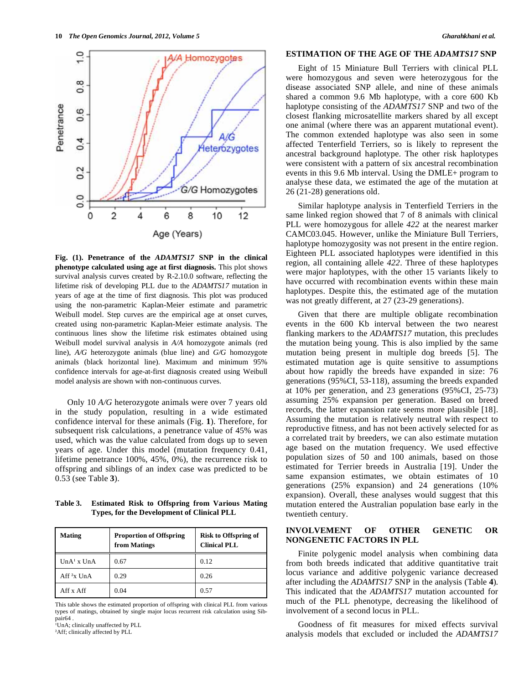

**Fig. (1). Penetrance of the** *ADAMTS17* **SNP in the clinical phenotype calculated using age at first diagnosis.** This plot shows survival analysis curves created by R-2.10.0 software, reflecting the lifetime risk of developing PLL due to the *ADAMTS17* mutation in years of age at the time of first diagnosis. This plot was produced using the non-parametric Kaplan-Meier estimate and parametric Weibull model. Step curves are the empirical age at onset curves, created using non-parametric Kaplan-Meier estimate analysis. The continuous lines show the lifetime risk estimates obtained using Weibull model survival analysis in *A/A* homozygote animals (red line), *A/G* heterozygote animals (blue line) and *G/G* homozygote animals (black horizontal line). Maximum and minimum 95% confidence intervals for age-at-first diagnosis created using Weibull model analysis are shown with non-continuous curves.

 Only 10 *A/G* heterozygote animals were over 7 years old in the study population, resulting in a wide estimated confidence interval for these animals (Fig. **1**). Therefore, for subsequent risk calculations, a penetrance value of 45% was used, which was the value calculated from dogs up to seven years of age. Under this model (mutation frequency 0.41, lifetime penetrance 100%, 45%, 0%), the recurrence risk to offspring and siblings of an index case was predicted to be 0.53 (see Table **3**).

**Table 3. Estimated Risk to Offspring from Various Mating Types, for the Development of Clinical PLL** 

| <b>Mating</b>  | <b>Proportion of Offspring</b><br>from Matings | <b>Risk to Offspring of</b><br><b>Clinical PLL</b> |
|----------------|------------------------------------------------|----------------------------------------------------|
| $UnA1$ x $UnA$ | 0.67                                           | 0.12                                               |
| $Aff2x$ UnA    | 0.29                                           | 0.26                                               |
| Aff x Aff      | 0.04                                           | 0.57                                               |

This table shows the estimated proportion of offspring with clinical PLL from various types of matings, obtained by single major locus recurrent risk calculation using Sibpair64 .

UnA; clinically unaffected by PLL

<sup>2</sup>Aff; clinically affected by PLL

# **ESTIMATION OF THE AGE OF THE** *ADAMTS17* **SNP**

 Eight of 15 Miniature Bull Terriers with clinical PLL were homozygous and seven were heterozygous for the disease associated SNP allele, and nine of these animals shared a common 9.6 Mb haplotype, with a core 600 Kb haplotype consisting of the *ADAMTS17* SNP and two of the closest flanking microsatellite markers shared by all except one animal (where there was an apparent mutational event). The common extended haplotype was also seen in some affected Tenterfield Terriers, so is likely to represent the ancestral background haplotype. The other risk haplotypes were consistent with a pattern of six ancestral recombination events in this 9.6 Mb interval. Using the DMLE+ program to analyse these data, we estimated the age of the mutation at 26 (21-28) generations old.

 Similar haplotype analysis in Tenterfield Terriers in the same linked region showed that 7 of 8 animals with clinical PLL were homozygous for allele *422* at the nearest marker CAMC03.045. However, unlike the Miniature Bull Terriers, haplotype homozygosity was not present in the entire region. Eighteen PLL associated haplotypes were identified in this region, all containing allele *422*. Three of these haplotypes were major haplotypes, with the other 15 variants likely to have occurred with recombination events within these main haplotypes. Despite this, the estimated age of the mutation was not greatly different, at 27 (23-29 generations).

 Given that there are multiple obligate recombination events in the 600 Kb interval between the two nearest flanking markers to the *ADAMTS17* mutation, this precludes the mutation being young. This is also implied by the same mutation being present in multiple dog breeds [5]. The estimated mutation age is quite sensitive to assumptions about how rapidly the breeds have expanded in size: 76 generations (95%CI, 53-118), assuming the breeds expanded at 10% per generation, and 23 generations (95%CI, 25-73) assuming 25% expansion per generation. Based on breed records, the latter expansion rate seems more plausible [18]. Assuming the mutation is relatively neutral with respect to reproductive fitness, and has not been actively selected for as a correlated trait by breeders, we can also estimate mutation age based on the mutation frequency. We used effective population sizes of 50 and 100 animals, based on those estimated for Terrier breeds in Australia [19]. Under the same expansion estimates, we obtain estimates of 10 generations (25% expansion) and 24 generations (10% expansion). Overall, these analyses would suggest that this mutation entered the Australian population base early in the twentieth century.

# **INVOLVEMENT OF OTHER GENETIC OR NONGENETIC FACTORS IN PLL**

 Finite polygenic model analysis when combining data from both breeds indicated that additive quantitative trait locus variance and additive polygenic variance decreased after including the *ADAMTS17* SNP in the analysis (Table **4**). This indicated that the *ADAMTS17* mutation accounted for much of the PLL phenotype, decreasing the likelihood of involvement of a second locus in PLL.

 Goodness of fit measures for mixed effects survival analysis models that excluded or included the *ADAMTS17*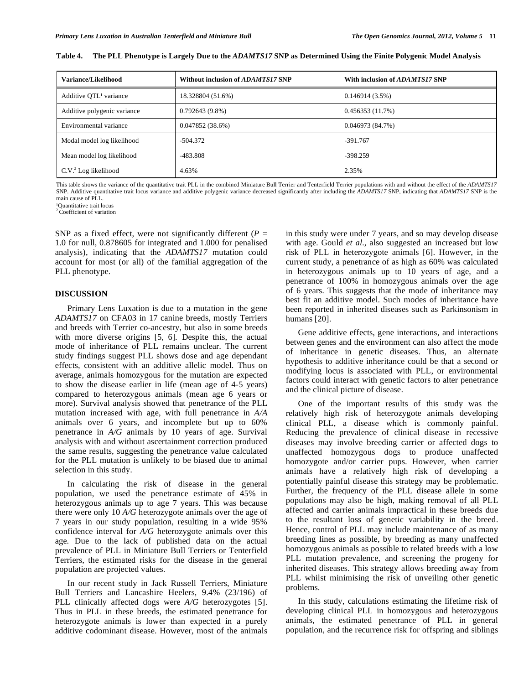| Variance/Likelihood                | Without inclusion of ADAMTS17 SNP | With inclusion of ADAMTS17 SNP |
|------------------------------------|-----------------------------------|--------------------------------|
| Additive QTL <sup>1</sup> variance | 18.328804 (51.6%)                 | 0.146914(3.5%)                 |
| Additive polygenic variance        | $0.792643(9.8\%)$                 | 0.456353(11.7%)                |
| Environmental variance             | 0.047852(38.6%)                   | 0.046973(84.7%)                |
| Modal model log likelihood         | $-504.372$                        | $-391.767$                     |
| Mean model log likelihood          | $-483.808$                        | $-398.259$                     |
| C.V. <sup>2</sup> Log likelihood   | 4.63%                             | 2.35%                          |

**Table 4. The PLL Phenotype is Largely Due to the** *ADAMTS17* **SNP as Determined Using the Finite Polygenic Model Analysis** 

This table shows the variance of the quantitative trait PLL in the combined Miniature Bull Terrier and Tenterfield Terrier populations with and without the effect of the *ADAMTS17* SNP. Additive quantitative trait locus variance and additive polygenic variance decreased significantly after including the *ADAMTS17* SNP, indicating that *ADAMTS17* SNP is the main cause of PLL.

<sup>1</sup>Ouantitative trait locus

 $2 \tilde{C}$  coefficient of variation

SNP as a fixed effect, were not significantly different  $(P =$ 1.0 for null, 0.878605 for integrated and 1.000 for penalised analysis), indicating that the *ADAMTS17* mutation could account for most (or all) of the familial aggregation of the PLL phenotype.

#### **DISCUSSION**

 Primary Lens Luxation is due to a mutation in the gene *ADAMTS17* on CFA03 in 17 canine breeds, mostly Terriers and breeds with Terrier co-ancestry, but also in some breeds with more diverse origins [5, 6]*.* Despite this, the actual mode of inheritance of PLL remains unclear. The current study findings suggest PLL shows dose and age dependant effects, consistent with an additive allelic model. Thus on average, animals homozygous for the mutation are expected to show the disease earlier in life (mean age of 4-5 years) compared to heterozygous animals (mean age 6 years or more). Survival analysis showed that penetrance of the PLL mutation increased with age, with full penetrance in *A/A* animals over 6 years, and incomplete but up to 60% penetrance in *A/G* animals by 10 years of age. Survival analysis with and without ascertainment correction produced the same results, suggesting the penetrance value calculated for the PLL mutation is unlikely to be biased due to animal selection in this study.

 In calculating the risk of disease in the general population, we used the penetrance estimate of 45% in heterozygous animals up to age 7 years. This was because there were only 10 *A/G* heterozygote animals over the age of 7 years in our study population, resulting in a wide 95% confidence interval for *A/G* heterozygote animals over this age. Due to the lack of published data on the actual prevalence of PLL in Miniature Bull Terriers or Tenterfield Terriers, the estimated risks for the disease in the general population are projected values.

 In our recent study in Jack Russell Terriers, Miniature Bull Terriers and Lancashire Heelers, 9.4% (23/196) of PLL clinically affected dogs were *A/G* heterozygotes [5]. Thus in PLL in these breeds, the estimated penetrance for heterozygote animals is lower than expected in a purely additive codominant disease. However, most of the animals

in this study were under 7 years, and so may develop disease with age. Gould *et al.,* also suggested an increased but low risk of PLL in heterozygote animals [6]. However, in the current study, a penetrance of as high as 60% was calculated in heterozygous animals up to 10 years of age, and a penetrance of 100% in homozygous animals over the age of 6 years. This suggests that the mode of inheritance may best fit an additive model. Such modes of inheritance have been reported in inherited diseases such as Parkinsonism in humans [20].

 Gene additive effects, gene interactions, and interactions between genes and the environment can also affect the mode of inheritance in genetic diseases. Thus, an alternate hypothesis to additive inheritance could be that a second or modifying locus is associated with PLL, or environmental factors could interact with genetic factors to alter penetrance and the clinical picture of disease.

 One of the important results of this study was the relatively high risk of heterozygote animals developing clinical PLL, a disease which is commonly painful. Reducing the prevalence of clinical disease in recessive diseases may involve breeding carrier or affected dogs to unaffected homozygous dogs to produce unaffected homozygote and/or carrier pups. However, when carrier animals have a relatively high risk of developing a potentially painful disease this strategy may be problematic. Further, the frequency of the PLL disease allele in some populations may also be high, making removal of all PLL affected and carrier animals impractical in these breeds due to the resultant loss of genetic variability in the breed. Hence, control of PLL may include maintenance of as many breeding lines as possible, by breeding as many unaffected homozygous animals as possible to related breeds with a low PLL mutation prevalence, and screening the progeny for inherited diseases. This strategy allows breeding away from PLL whilst minimising the risk of unveiling other genetic problems.

 In this study, calculations estimating the lifetime risk of developing clinical PLL in homozygous and heterozygous animals, the estimated penetrance of PLL in general population, and the recurrence risk for offspring and siblings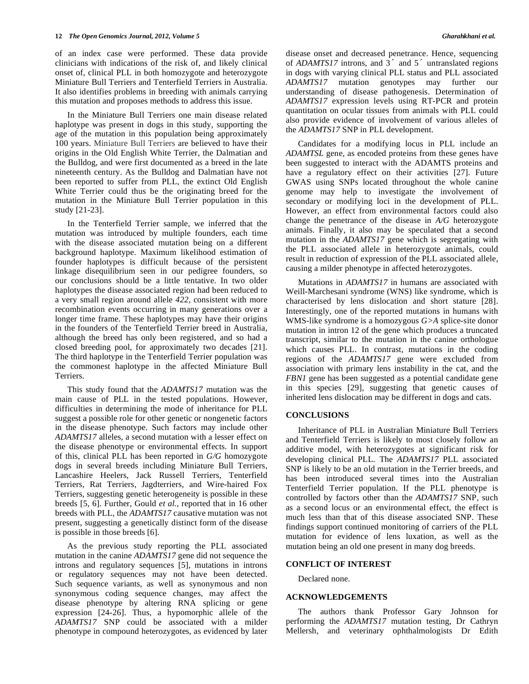of an index case were performed. These data provide clinicians with indications of the risk of, and likely clinical onset of, clinical PLL in both homozygote and heterozygote Miniature Bull Terriers and Tenterfield Terriers in Australia. It also identifies problems in breeding with animals carrying this mutation and proposes methods to address this issue.

 In the Miniature Bull Terriers one main disease related haplotype was present in dogs in this study, supporting the age of the mutation in this population being approximately 100 years. Miniature Bull Terriers are believed to have their origins in the Old English White Terrier, the Dalmatian and the Bulldog, and were first documented as a breed in the late nineteenth century. As the Bulldog and Dalmatian have not been reported to suffer from PLL, the extinct Old English White Terrier could thus be the originating breed for the mutation in the Miniature Bull Terrier population in this study [21-23].

 In the Tenterfield Terrier sample, we inferred that the mutation was introduced by multiple founders, each time with the disease associated mutation being on a different background haplotype. Maximum likelihood estimation of founder haplotypes is difficult because of the persistent linkage disequilibrium seen in our pedigree founders, so our conclusions should be a little tentative. In two older haplotypes the disease associated region had been reduced to a very small region around allele *422*, consistent with more recombination events occurring in many generations over a longer time frame. These haplotypes may have their origins in the founders of the Tenterfield Terrier breed in Australia, although the breed has only been registered, and so had a closed breeding pool, for approximately two decades [21]. The third haplotype in the Tenterfield Terrier population was the commonest haplotype in the affected Miniature Bull Terriers.

 This study found that the *ADAMTS17* mutation was the main cause of PLL in the tested populations. However, difficulties in determining the mode of inheritance for PLL suggest a possible role for other genetic or nongenetic factors in the disease phenotype. Such factors may include other *ADAMTS17* alleles, a second mutation with a lesser effect on the disease phenotype or environmental effects. In support of this, clinical PLL has been reported in *G/G* homozygote dogs in several breeds including Miniature Bull Terriers, Lancashire Heelers, Jack Russell Terriers, Tenterfield Terriers, Rat Terriers, Jagdterriers, and Wire-haired Fox Terriers, suggesting genetic heterogeneity is possible in these breeds [5, 6]. Further, Gould *et al.,* reported that in 16 other breeds with PLL, the *ADAMTS17* causative mutation was not present, suggesting a genetically distinct form of the disease is possible in those breeds [6].

 As the previous study reporting the PLL associated mutation in the canine *ADAMTS17* gene did not sequence the introns and regulatory sequences [5], mutations in introns or regulatory sequences may not have been detected. Such sequence variants, as well as synonymous and non synonymous coding sequence changes, may affect the disease phenotype by altering RNA splicing or gene expression [24-26]. Thus, a hypomorphic allele of the *ADAMTS17* SNP could be associated with a milder phenotype in compound heterozygotes, as evidenced by later

disease onset and decreased penetrance. Hence, sequencing of *ADAMTS17* introns, and 3<sup>'</sup> and 5<sup>'</sup> untranslated regions in dogs with varying clinical PLL status and PLL associated *ADAMTS17* mutation genotypes may further our understanding of disease pathogenesis. Determination of *ADAMTS17* expression levels using RT-PCR and protein quantitation on ocular tissues from animals with PLL could also provide evidence of involvement of various alleles of the *ADAMTS17* SNP in PLL development.

 Candidates for a modifying locus in PLL include an *ADAMTSL* gene, as encoded proteins from these genes have been suggested to interact with the ADAMTS proteins and have a regulatory effect on their activities [27]. Future GWAS using SNPs located throughout the whole canine genome may help to investigate the involvement of secondary or modifying loci in the development of PLL. However, an effect from environmental factors could also change the penetrance of the disease in *A/G* heterozygote animals. Finally, it also may be speculated that a second mutation in the *ADAMTS17* gene which is segregating with the PLL associated allele in heterozygote animals, could result in reduction of expression of the PLL associated allele, causing a milder phenotype in affected heterozygotes.

 Mutations in *ADAMTS17* in humans are associated with Weill-Marchesani syndrome (WNS) like syndrome, which is characterised by lens dislocation and short stature [28]. Interestingly, one of the reported mutations in humans with WMS-like syndrome is a homozygous *G>A* splice-site donor mutation in intron 12 of the gene which produces a truncated transcript, similar to the mutation in the canine orthologue which causes PLL. In contrast, mutations in the coding regions of the *ADAMTS17* gene were excluded from association with primary lens instability in the cat, and the *FBN1* gene has been suggested as a potential candidate gene in this species [29], suggesting that genetic causes of inherited lens dislocation may be different in dogs and cats.

#### **CONCLUSIONS**

 Inheritance of PLL in Australian Miniature Bull Terriers and Tenterfield Terriers is likely to most closely follow an additive model, with heterozygotes at significant risk for developing clinical PLL. The *ADAMTS17* PLL associated SNP is likely to be an old mutation in the Terrier breeds, and has been introduced several times into the Australian Tenterfield Terrier population. If the PLL phenotype is controlled by factors other than the *ADAMTS17* SNP, such as a second locus or an environmental effect, the effect is much less than that of this disease associated SNP. These findings support continued monitoring of carriers of the PLL mutation for evidence of lens luxation, as well as the mutation being an old one present in many dog breeds.

#### **CONFLICT OF INTEREST**

Declared none.

#### **ACKNOWLEDGEMENTS**

 The authors thank Professor Gary Johnson for performing the *ADAMTS17* mutation testing, Dr Cathryn Mellersh, and veterinary ophthalmologists Dr Edith